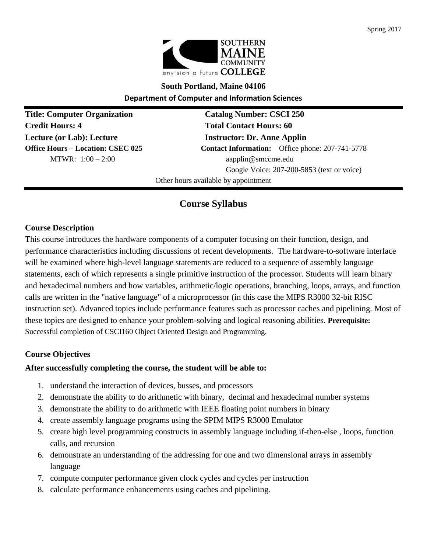

# **South Portland, Maine 04106 Department of Computer and Information Sciences**

**Title: Computer Organization Catalog Number: CSCI 250 Credit Hours: 4 Total Contact Hours: 60 Lecture (or Lab): Lecture Instructor: Dr. Anne Applin** 

**Office Hours – Location: CSEC 025 Contact Information:** Office phone: 207-741-5778 MTWR:  $1:00 - 2:00$  aapplin@smccme.edu Google Voice: 207-200-5853 (text or voice)

Other hours available by appointment

# **Course Syllabus**

# **Course Description**

This course introduces the hardware components of a computer focusing on their function, design, and performance characteristics including discussions of recent developments. The hardware-to-software interface will be examined where high-level language statements are reduced to a sequence of assembly language statements, each of which represents a single primitive instruction of the processor. Students will learn binary and hexadecimal numbers and how variables, arithmetic/logic operations, branching, loops, arrays, and function calls are written in the "native language" of a microprocessor (in this case the MIPS R3000 32-bit RISC instruction set). Advanced topics include performance features such as processor caches and pipelining. Most of these topics are designed to enhance your problem-solving and logical reasoning abilities. **Prerequisite:**  Successful completion of CSCI160 Object Oriented Design and Programming.

## **Course Objectives**

## **After successfully completing the course, the student will be able to:**

- 1. understand the interaction of devices, busses, and processors
- 2. demonstrate the ability to do arithmetic with binary, decimal and hexadecimal number systems
- 3. demonstrate the ability to do arithmetic with IEEE floating point numbers in binary
- 4. create assembly language programs using the SPIM MIPS R3000 Emulator
- 5. create high level programming constructs in assembly language including if-then-else , loops, function calls, and recursion
- 6. demonstrate an understanding of the addressing for one and two dimensional arrays in assembly language
- 7. compute computer performance given clock cycles and cycles per instruction
- 8. calculate performance enhancements using caches and pipelining.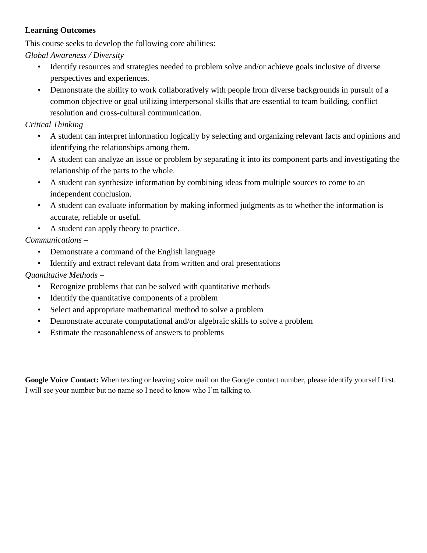# **Learning Outcomes**

This course seeks to develop the following core abilities:

*Global Awareness / Diversity –*

- Identify resources and strategies needed to problem solve and/or achieve goals inclusive of diverse perspectives and experiences.
- Demonstrate the ability to work collaboratively with people from diverse backgrounds in pursuit of a common objective or goal utilizing interpersonal skills that are essential to team building, conflict resolution and cross-cultural communication.

# *Critical Thinking –*

- A student can interpret information logically by selecting and organizing relevant facts and opinions and identifying the relationships among them.
- A student can analyze an issue or problem by separating it into its component parts and investigating the relationship of the parts to the whole.
- A student can synthesize information by combining ideas from multiple sources to come to an independent conclusion.
- A student can evaluate information by making informed judgments as to whether the information is accurate, reliable or useful.
- A student can apply theory to practice.

# *Communications –*

- Demonstrate a command of the English language
- Identify and extract relevant data from written and oral presentations

# *Quantitative Methods –*

- Recognize problems that can be solved with quantitative methods
- Identify the quantitative components of a problem
- Select and appropriate mathematical method to solve a problem
- Demonstrate accurate computational and/or algebraic skills to solve a problem
- Estimate the reasonableness of answers to problems

**Google Voice Contact:** When texting or leaving voice mail on the Google contact number, please identify yourself first. I will see your number but no name so I need to know who I'm talking to.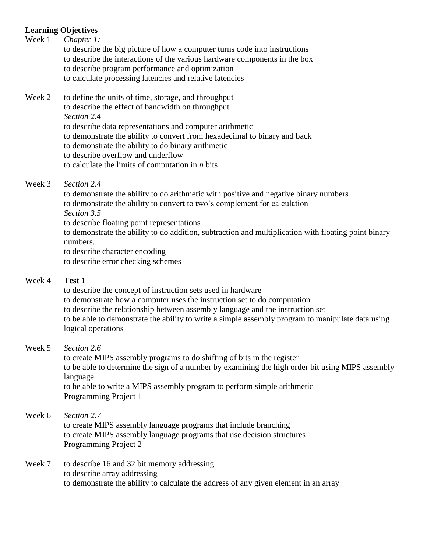# **Learning Objectives**

| Week 1 | Chapter 1:<br>to describe the big picture of how a computer turns code into instructions<br>to describe the interactions of the various hardware components in the box<br>to describe program performance and optimization<br>to calculate processing latencies and relative latencies                                                                                                                              |
|--------|---------------------------------------------------------------------------------------------------------------------------------------------------------------------------------------------------------------------------------------------------------------------------------------------------------------------------------------------------------------------------------------------------------------------|
| Week 2 | to define the units of time, storage, and throughput<br>to describe the effect of bandwidth on throughput<br>Section 2.4<br>to describe data representations and computer arithmetic<br>to demonstrate the ability to convert from hexadecimal to binary and back<br>to demonstrate the ability to do binary arithmetic<br>to describe overflow and underflow<br>to calculate the limits of computation in $n$ bits |
| Week 3 | Section 2.4<br>to demonstrate the ability to do arithmetic with positive and negative binary numbers<br>to demonstrate the ability to convert to two's complement for calculation<br>$\sigma$ . $\cdot$ . $\sigma$ . $\sigma$                                                                                                                                                                                       |

*Section 3.5* to describe floating point representations to demonstrate the ability to do addition, subtraction and multiplication with floating point binary numbers. to describe character encoding

to describe error checking schemes

## Week 4 **Test 1**

to describe the concept of instruction sets used in hardware to demonstrate how a computer uses the instruction set to do computation to describe the relationship between assembly language and the instruction set to be able to demonstrate the ability to write a simple assembly program to manipulate data using logical operations

## Week 5 *Section 2.6*

to create MIPS assembly programs to do shifting of bits in the register to be able to determine the sign of a number by examining the high order bit using MIPS assembly language to be able to write a MIPS assembly program to perform simple arithmetic Programming Project 1

#### Week 6 *Section 2.7*

to create MIPS assembly language programs that include branching to create MIPS assembly language programs that use decision structures Programming Project 2

### Week 7 to describe 16 and 32 bit memory addressing to describe array addressing to demonstrate the ability to calculate the address of any given element in an array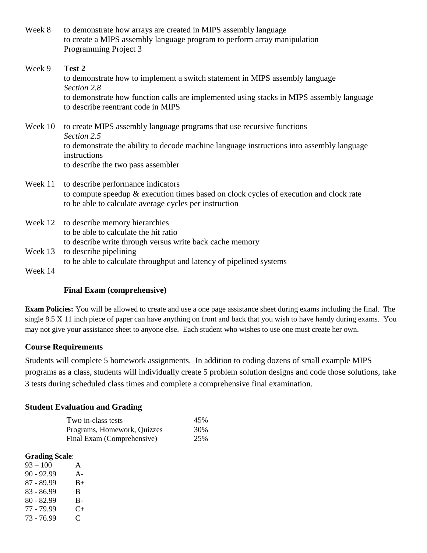| Week 8 | to demonstrate how arrays are created in MIPS assembly language          |
|--------|--------------------------------------------------------------------------|
|        | to create a MIPS assembly language program to perform array manipulation |
|        | Programming Project 3                                                    |

# Week 9 **Test 2** to demonstrate how to implement a switch statement in MIPS assembly language *Section 2.8* to demonstrate how function calls are implemented using stacks in MIPS assembly language to describe reentrant code in MIPS

Week 10 to create MIPS assembly language programs that use recursive functions *Section 2.5* to demonstrate the ability to decode machine language instructions into assembly language instructions to describe the two pass assembler

# Week 11 to describe performance indicators to compute speedup & execution times based on clock cycles of execution and clock rate to be able to calculate average cycles per instruction

Week 12 to describe memory hierarchies to be able to calculate the hit ratio to describe write through versus write back cache memory Week 13 to describe pipelining to be able to calculate throughput and latency of pipelined systems Week 14

## **Final Exam (comprehensive)**

**Exam Policies:** You will be allowed to create and use a one page assistance sheet during exams including the final. The single 8.5 X 11 inch piece of paper can have anything on front and back that you wish to have handy during exams. You may not give your assistance sheet to anyone else. Each student who wishes to use one must create her own.

## **Course Requirements**

Students will complete 5 homework assignments. In addition to coding dozens of small example MIPS programs as a class, students will individually create 5 problem solution designs and code those solutions, take 3 tests during scheduled class times and complete a comprehensive final examination.

## **Student Evaluation and Grading**

| Two in-class tests          | 45% |
|-----------------------------|-----|
| Programs, Homework, Quizzes | 30% |
| Final Exam (Comprehensive)  | 25% |

#### **Grading Scale**:

 $93 - 100$  A 90 - 92.99 A- $87 - 89.99$  B+ 83 - 86.99 B 80 - 82.99 B- $77 - 79.99$  C+ 73 - 76.99 C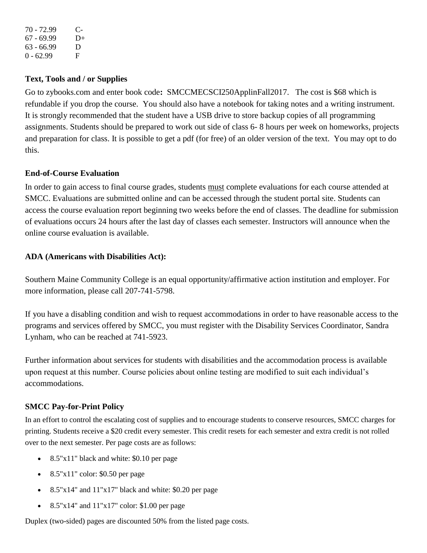70 - 72.99 C- $67 - 69.99$  D+ 63 - 66.99 D  $0 - 62.99$  F

## **Text, Tools and / or Supplies**

Go to zybooks.com and enter book code**:**SMCCMECSCI250ApplinFall2017. The cost is \$68 which is refundable if you drop the course. You should also have a notebook for taking notes and a writing instrument. It is strongly recommended that the student have a USB drive to store backup copies of all programming assignments. Students should be prepared to work out side of class 6- 8 hours per week on homeworks, projects and preparation for class. It is possible to get a pdf (for free) of an older version of the text. You may opt to do this.

# **End-of-Course Evaluation**

In order to gain access to final course grades, students must complete evaluations for each course attended at SMCC. Evaluations are submitted online and can be accessed through the student portal site. Students can access the course evaluation report beginning two weeks before the end of classes. The deadline for submission of evaluations occurs 24 hours after the last day of classes each semester. Instructors will announce when the online course evaluation is available.

# **ADA (Americans with Disabilities Act):**

Southern Maine Community College is an equal opportunity/affirmative action institution and employer. For more information, please call 207-741-5798.

If you have a disabling condition and wish to request accommodations in order to have reasonable access to the programs and services offered by SMCC, you must register with the Disability Services Coordinator, Sandra Lynham, who can be reached at 741-5923.

Further information about services for students with disabilities and the accommodation process is available upon request at this number. Course policies about online testing are modified to suit each individual's accommodations.

# **SMCC Pay-for-Print Policy**

In an effort to control the escalating cost of supplies and to encourage students to conserve resources, SMCC charges for printing. Students receive a \$20 credit every semester. This credit resets for each semester and extra credit is not rolled over to the next semester. Per page costs are as follows:

- 8.5"x11" black and white: \$0.10 per page
- $\bullet$  8.5"x11" color: \$0.50 per page
- $\bullet$  8.5"x14" and 11"x17" black and white: \$0.20 per page
- $8.5"x14"$  and  $11"x17"$  color: \$1.00 per page

Duplex (two-sided) pages are discounted 50% from the listed page costs.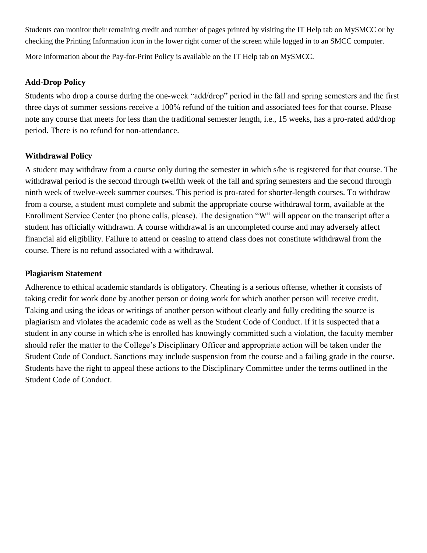Students can monitor their remaining credit and number of pages printed by visiting the IT Help tab on MySMCC or by checking the Printing Information icon in the lower right corner of the screen while logged in to an SMCC computer.

More information about the Pay-for-Print Policy is available on the IT Help tab on MySMCC.

## **Add-Drop Policy**

Students who drop a course during the one-week "add/drop" period in the fall and spring semesters and the first three days of summer sessions receive a 100% refund of the tuition and associated fees for that course. Please note any course that meets for less than the traditional semester length, i.e., 15 weeks, has a pro-rated add/drop period. There is no refund for non-attendance.

# **Withdrawal Policy**

A student may withdraw from a course only during the semester in which s/he is registered for that course. The withdrawal period is the second through twelfth week of the fall and spring semesters and the second through ninth week of twelve-week summer courses. This period is pro-rated for shorter-length courses. To withdraw from a course, a student must complete and submit the appropriate course withdrawal form, available at the Enrollment Service Center (no phone calls, please). The designation "W" will appear on the transcript after a student has officially withdrawn. A course withdrawal is an uncompleted course and may adversely affect financial aid eligibility. Failure to attend or ceasing to attend class does not constitute withdrawal from the course. There is no refund associated with a withdrawal.

### **Plagiarism Statement**

Adherence to ethical academic standards is obligatory. Cheating is a serious offense, whether it consists of taking credit for work done by another person or doing work for which another person will receive credit. Taking and using the ideas or writings of another person without clearly and fully crediting the source is plagiarism and violates the academic code as well as the Student Code of Conduct. If it is suspected that a student in any course in which s/he is enrolled has knowingly committed such a violation, the faculty member should refer the matter to the College's Disciplinary Officer and appropriate action will be taken under the Student Code of Conduct. Sanctions may include suspension from the course and a failing grade in the course. Students have the right to appeal these actions to the Disciplinary Committee under the terms outlined in the Student Code of Conduct.